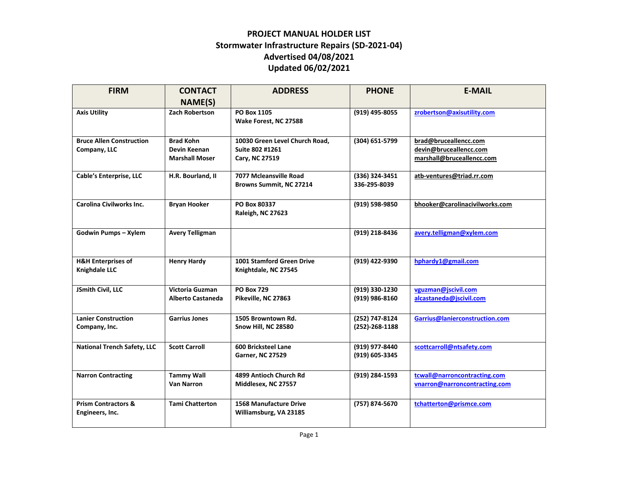## **PROJECT MANUAL HOLDER LIST Stormwater Infrastructure Repairs (SD-2021-04) Advertised 04/08/2021 Updated 06/02/2021**

| <b>FIRM</b>                        | <b>CONTACT</b>                   | <b>ADDRESS</b>                                    | <b>PHONE</b>         | <b>E-MAIL</b>                                   |
|------------------------------------|----------------------------------|---------------------------------------------------|----------------------|-------------------------------------------------|
|                                    | NAME(S)                          |                                                   |                      |                                                 |
| <b>Axis Utility</b>                | <b>Zach Robertson</b>            | PO Box 1105                                       | (919) 495-8055       | zrobertson@axisutility.com                      |
|                                    |                                  | Wake Forest, NC 27588                             |                      |                                                 |
|                                    |                                  |                                                   |                      |                                                 |
| <b>Bruce Allen Construction</b>    | <b>Brad Kohn</b><br>Devin Keenan | 10030 Green Level Church Road.<br>Suite 802 #1261 | (304) 651-5799       | brad@bruceallencc.com<br>devin@bruceallencc.com |
| Company, LLC                       | <b>Marshall Moser</b>            | Cary, NC 27519                                    |                      | marshall@bruceallencc.com                       |
|                                    |                                  |                                                   |                      |                                                 |
| Cable's Enterprise, LLC            | H.R. Bourland, II                | 7077 Mcleansville Road                            | (336) 324-3451       | atb-ventures@triad.rr.com                       |
|                                    |                                  | Browns Summit, NC 27214                           | 336-295-8039         |                                                 |
|                                    |                                  |                                                   |                      |                                                 |
| <b>Carolina Civilworks Inc.</b>    | <b>Bryan Hooker</b>              | PO Box 80337<br>Raleigh, NC 27623                 | (919) 598-9850       | bhooker@carolinacivilworks.com                  |
|                                    |                                  |                                                   |                      |                                                 |
| Godwin Pumps - Xylem               | <b>Avery Telligman</b>           |                                                   | (919) 218-8436       | avery.telligman@xylem.com                       |
|                                    |                                  |                                                   |                      |                                                 |
|                                    |                                  |                                                   |                      |                                                 |
| <b>H&amp;H Enterprises of</b>      | <b>Henry Hardy</b>               | 1001 Stamford Green Drive                         | (919) 422-9390       | hphardy1@gmail.com                              |
| <b>Knighdale LLC</b>               |                                  | Knightdale, NC 27545                              |                      |                                                 |
| JSmith Civil, LLC                  | Victoria Guzman                  | <b>PO Box 729</b>                                 | (919) 330-1230       | vguzman@jscivil.com                             |
|                                    | Alberto Castaneda                | Pikeville, NC 27863                               | (919) 986-8160       | alcastaneda@jscivil.com                         |
|                                    |                                  |                                                   |                      |                                                 |
| <b>Lanier Construction</b>         | <b>Garrius Jones</b>             | 1505 Browntown Rd.                                | (252) 747-8124       | Garrius@lanierconstruction.com                  |
| Company, Inc.                      |                                  | Snow Hill, NC 28580                               | $(252) - 268 - 1188$ |                                                 |
|                                    |                                  |                                                   |                      |                                                 |
| <b>National Trench Safety, LLC</b> | <b>Scott Carroll</b>             | 600 Bricksteel Lane                               | (919) 977-8440       | scottcarroll@ntsafety.com                       |
|                                    |                                  | <b>Garner, NC 27529</b>                           | (919) 605-3345       |                                                 |
| <b>Narron Contracting</b>          | <b>Tammy Wall</b>                | 4899 Antioch Church Rd                            | (919) 284-1593       | tcwall@narroncontracting.com                    |
|                                    | <b>Van Narron</b>                | Middlesex, NC 27557                               |                      | vnarron@narroncontracting.com                   |
|                                    |                                  |                                                   |                      |                                                 |
| <b>Prism Contractors &amp;</b>     | <b>Tami Chatterton</b>           | <b>1568 Manufacture Drive</b>                     | (757) 874-5670       | tchatterton@prismce.com                         |
| Engineers, Inc.                    |                                  | Williamsburg, VA 23185                            |                      |                                                 |
|                                    |                                  |                                                   |                      |                                                 |